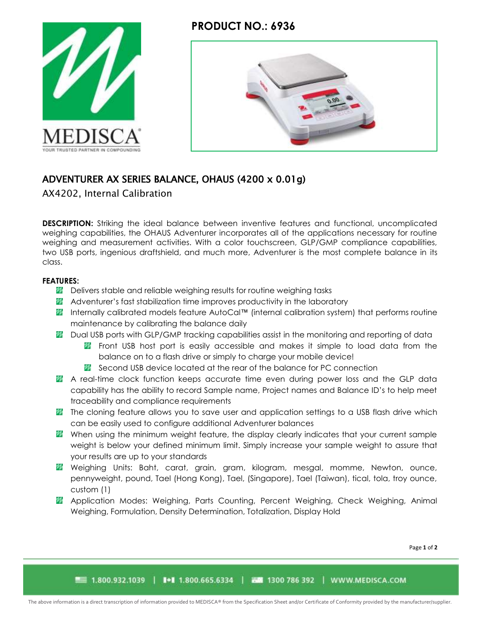## **PRODUCT NO.: 6936**





# ADVENTURER AX SERIES BALANCE, OHAUS (4200 x 0.01g)

AX4202, Internal Calibration

**DESCRIPTION:** Striking the ideal balance between inventive features and functional, uncomplicated weighing capabilities, the OHAUS Adventurer incorporates all of the applications necessary for routine weighing and measurement activities. With a color touchscreen, GLP/GMP compliance capabilities, two USB ports, ingenious draftshield, and much more, Adventurer is the most complete balance in its class.

### **FEATURES:**

- **Delivers stable and reliable weighing results for routine weighing tasks**
- **Adventurer's fast stabilization time improves productivity in the laboratory**
- Internally calibrated models feature AutoCal™ (internal calibration system) that performs routine maintenance by calibrating the balance daily
- **20** Dual USB ports with GLP/GMP tracking capabilities assist in the monitoring and reporting of data
	- **F** Front USB host port is easily accessible and makes it simple to load data from the balance on to a flash drive or simply to charge your mobile device!
	- **X** Second USB device located at the rear of the balance for PC connection
- **A** real-time clock function keeps accurate time even during power loss and the GLP data capability has the ability to record Sample name, Project names and Balance ID's to help meet traceability and compliance requirements
- **The cloning feature allows you to save user and application settings to a USB flash drive which** can be easily used to configure additional Adventurer balances
- **W** When using the minimum weight feature, the display clearly indicates that your current sample weight is below your defined minimum limit. Simply increase your sample weight to assure that your results are up to your standards
- **W** Weighing Units: Baht, carat, grain, gram, kilogram, mesgal, momme, Newton, ounce, pennyweight, pound, Tael (Hong Kong), Tael, (Singapore), Tael (Taiwan), tical, tola, troy ounce, custom (1)
- **Application Modes: Weighing, Parts Counting, Percent Weighing, Check Weighing, Animal** Weighing, Formulation, Density Determination, Totalization, Display Hold

Page **1** of **2**

■■ 1.800.932.1039 | ■ 1.800.665.6334 | 西蘭 1300 786 392 | WWW.MEDISCA.COM